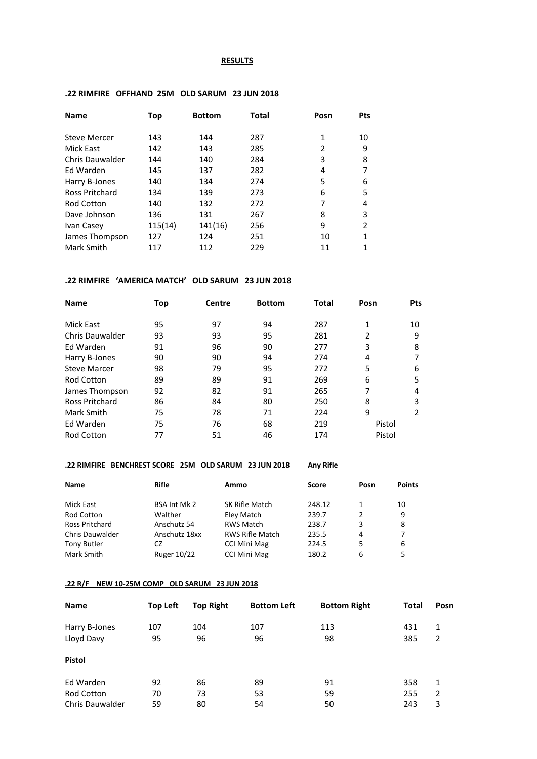#### **RESULTS**

| Name                  | Top     | <b>Bottom</b> | Total | Posn           | Pts |
|-----------------------|---------|---------------|-------|----------------|-----|
| Steve Mercer          | 143     | 144           | 287   | 1              | 10  |
| Mick East             | 142     | 143           | 285   | $\overline{2}$ | 9   |
| Chris Dauwalder       | 144     | 140           | 284   | 3              | 8   |
| Ed Warden             | 145     | 137           | 282   | 4              | 7   |
| Harry B-Jones         | 140     | 134           | 274   | 5              | 6   |
| <b>Ross Pritchard</b> | 134     | 139           | 273   | 6              | 5   |
| Rod Cotton            | 140     | 132           | 272   | 7              | 4   |
| Dave Johnson          | 136     | 131           | 267   | 8              | 3   |
| Ivan Casev            | 115(14) | 141(16)       | 256   | 9              | 2   |
| James Thompson        | 127     | 124           | 251   | 10             | 1   |
| Mark Smith            | 117     | 112           | 229   | 11             | 1   |
|                       |         |               |       |                |     |

# **.22 RIMFIRE OFFHAND 25M OLD SARUM 23 JUN 2018**

# **.22 RIMFIRE 'AMERICA MATCH' OLD SARUM 23 JUN 2018**

| <b>Name</b>         | Top | <b>Centre</b> | <b>Bottom</b> | Total | Posn   | <b>Pts</b>    |
|---------------------|-----|---------------|---------------|-------|--------|---------------|
| Mick East           | 95  | 97            | 94            | 287   | 1      | 10            |
| Chris Dauwalder     | 93  | 93            | 95            | 281   | 2      | 9             |
| Ed Warden           | 91  | 96            | 90            | 277   | 3      | 8             |
| Harry B-Jones       | 90  | 90            | 94            | 274   | 4      |               |
| <b>Steve Marcer</b> | 98  | 79            | 95            | 272   | 5      | 6             |
| <b>Rod Cotton</b>   | 89  | 89            | 91            | 269   | 6      | 5             |
| James Thompson      | 92  | 82            | 91            | 265   | 7      | 4             |
| Ross Pritchard      | 86  | 84            | 80            | 250   | 8      | 3             |
| Mark Smith          | 75  | 78            | 71            | 224   | 9      | $\mathcal{P}$ |
| Ed Warden           | 75  | 76            | 68            | 219   | Pistol |               |
| <b>Rod Cotton</b>   | 77  | 51            | 46            | 174   | Pistol |               |

#### **.22 RIMFIRE BENCHREST SCORE 25M OLD SARUM 23 JUN 2018 Any Rifle**

| Name                   | <b>Rifle</b>        | Ammo                   | Score  | Posn | <b>Points</b> |
|------------------------|---------------------|------------------------|--------|------|---------------|
| Mick East              | <b>BSA Int Mk 2</b> | SK Rifle Match         | 248.12 | 1    | 10            |
| <b>Rod Cotton</b>      | Walther             | Eley Match             | 239.7  | 2    | 9             |
| <b>Ross Pritchard</b>  | Anschutz 54         | <b>RWS Match</b>       | 238.7  | 3    | 8             |
| <b>Chris Dauwalder</b> | Anschutz 18xx       | <b>RWS Rifle Match</b> | 235.5  | 4    |               |
| <b>Tony Butler</b>     | CZ                  | <b>CCI Mini Mag</b>    | 224.5  | 5    | 6             |
| Mark Smith             | Ruger 10/22         | <b>CCI Mini Mag</b>    | 180.2  | 6    |               |

# **.22 R/F NEW 10-25M COMP OLD SARUM 23 JUN 2018**

| Name                   | <b>Top Left</b> | <b>Top Right</b> | <b>Bottom Left</b> | <b>Bottom Right</b> | Total | Posn |
|------------------------|-----------------|------------------|--------------------|---------------------|-------|------|
| Harry B-Jones          | 107             | 104              | 107                | 113                 | 431   | 1    |
| Lloyd Davy             | 95              | 96               | 96                 | 98                  | 385   | 2    |
| <b>Pistol</b>          |                 |                  |                    |                     |       |      |
| Ed Warden              | 92              | 86               | 89                 | 91                  | 358   | 1    |
| Rod Cotton             | 70              | 73               | 53                 | 59                  | 255   | 2    |
| <b>Chris Dauwalder</b> | 59              | 80               | 54                 | 50                  | 243   | 3    |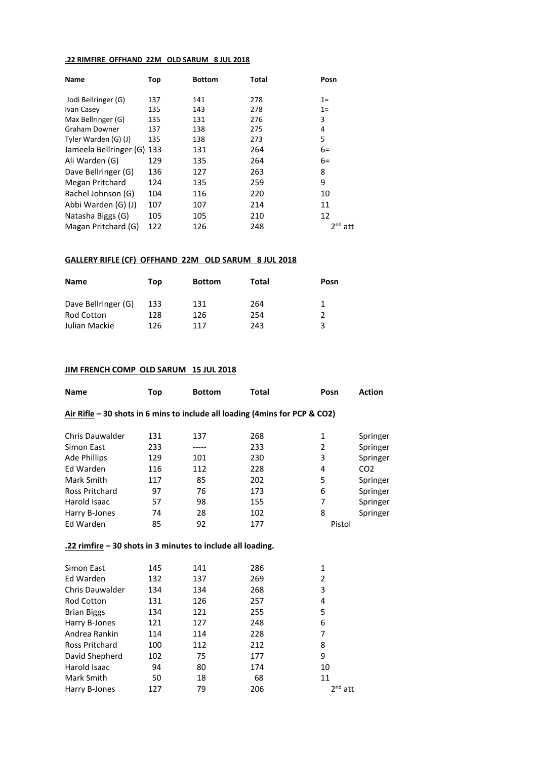#### **.22 RIMFIRE OFFHAND 22M OLD SARUM 8 JUL 2018**

| Name                       | Top | <b>Bottom</b> | Total | Posn                   |
|----------------------------|-----|---------------|-------|------------------------|
| Jodi Bellringer (G)        | 137 | 141           | 278   | $1=$                   |
| Ivan Casey                 | 135 | 143           | 278   | $1 =$                  |
| Max Bellringer (G)         | 135 | 131           | 276   | 3                      |
| Graham Downer              | 137 | 138           | 275   | 4                      |
| Tyler Warden (G) (J)       | 135 | 138           | 273   | 5                      |
| Jameela Bellringer (G) 133 |     | 131           | 264   | $6=$                   |
| Ali Warden (G)             | 129 | 135           | 264   | $6=$                   |
| Dave Bellringer (G)        | 136 | 127           | 263   | 8                      |
| Megan Pritchard            | 124 | 135           | 259   | 9                      |
| Rachel Johnson (G)         | 104 | 116           | 220   | 10                     |
| Abbi Warden (G) (J)        | 107 | 107           | 214   | 11                     |
| Natasha Biggs (G)          | 105 | 105           | 210   | 12                     |
| Magan Pritchard (G)        | 122 | 126           | 248   | 2 <sup>nd</sup><br>att |

### **GALLERY RIFLE (CF) OFFHAND 22M OLD SARUM 8 JUL 2018**

| <b>Name</b>         | Top | <b>Bottom</b> | Total | Posn |
|---------------------|-----|---------------|-------|------|
| Dave Bellringer (G) | 133 | 131           | 264   | 1    |
| <b>Rod Cotton</b>   | 128 | 126           | 254   | 2    |
| Julian Mackie       | 126 | 117           | 243   | 3    |

### **JIM FRENCH COMP OLD SARUM 15 JUL 2018**

| <b>Name</b>                                                                  | Top | <b>Bottom</b> | Total | Posn         | <b>Action</b>   |
|------------------------------------------------------------------------------|-----|---------------|-------|--------------|-----------------|
| Air Rifle $-30$ shots in 6 mins to include all loading (4mins for PCP & CO2) |     |               |       |              |                 |
| <b>Chris Dauwalder</b>                                                       | 131 | 137           | 268   | 1            | Springer        |
| Simon East                                                                   | 233 | -----         | 233   | 2            | Springer        |
| <b>Ade Phillips</b>                                                          | 129 | 101           | 230   | 3            | Springer        |
| Ed Warden                                                                    | 116 | 112           | 228   | 4            | CO <sub>2</sub> |
| Mark Smith                                                                   | 117 | 85            | 202   | 5            | Springer        |
| <b>Ross Pritchard</b>                                                        | 97  | 76            | 173   | 6            | Springer        |
| Harold Isaac                                                                 | 57  | 98            | 155   | 7            | Springer        |
| Harry B-Jones                                                                | 74  | 28            | 102   | 8            | Springer        |
| Ed Warden                                                                    | 85  | 92            | 177   | Pistol       |                 |
| .22 rimfire - 30 shots in 3 minutes to include all loading.                  |     |               |       |              |                 |
| Simon East                                                                   | 145 | 141           | 286   | 1            |                 |
| Ed Warden                                                                    | 132 | 137           | 269   | 2            |                 |
| <b>Chris Dauwalder</b>                                                       | 134 | 134           | 268   | 3            |                 |
| <b>Rod Cotton</b>                                                            | 131 | 126           | 257   | 4            |                 |
| <b>Brian Biggs</b>                                                           | 134 | 121           | 255   | 5            |                 |
| Harry B-Jones                                                                | 121 | 127           | 248   | 6            |                 |
| Andrea Rankin                                                                | 114 | 114           | 228   | 7            |                 |
| Ross Pritchard                                                               | 100 | 112           | 212   | 8            |                 |
| David Shepherd                                                               | 102 | 75            | 177   | 9            |                 |
| Harold Isaac                                                                 | 94  | 80            | 174   | 10           |                 |
| Mark Smith                                                                   | 50  | 18            | 68    | 11           |                 |
| Harry B-Jones                                                                | 127 | 79            | 206   | $2^{nd}$ att |                 |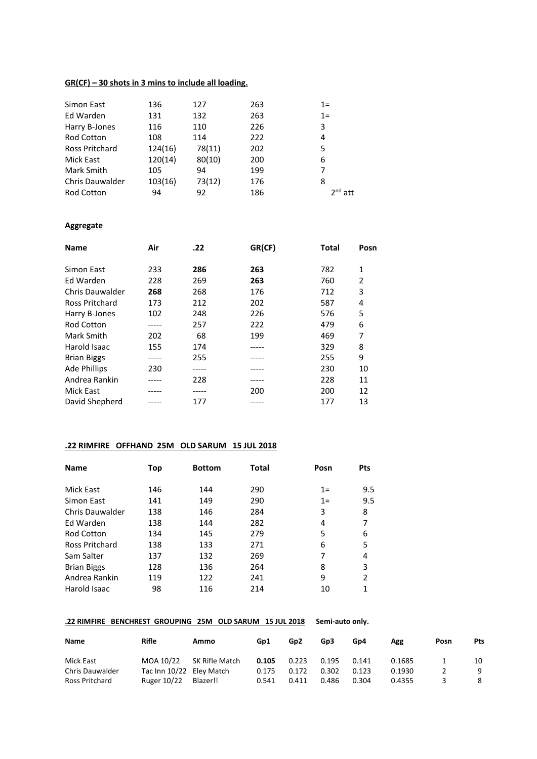### **GR(CF) – 30 shots in 3 mins to include all loading.**

| 136     | 127    | 263 | $1=$         |
|---------|--------|-----|--------------|
| 131     | 132    | 263 | $1 =$        |
| 116     | 110    | 226 | 3            |
| 108     | 114    | 222 | 4            |
| 124(16) | 78(11) | 202 | 5            |
| 120(14) | 80(10) | 200 | 6            |
| 105     | 94     | 199 |              |
| 103(16) | 73(12) | 176 | 8            |
| 94      | 92     | 186 | $2^{nd}$ att |
|         |        |     |              |

### **Aggregate**

| <b>Name</b>         | Air   | .22 | GR(CF) | Total | Posn |
|---------------------|-------|-----|--------|-------|------|
| Simon East          | 233   | 286 | 263    | 782   | 1    |
| Ed Warden           | 228   | 269 | 263    | 760   | 2    |
| Chris Dauwalder     | 268   | 268 | 176    | 712   | 3    |
| Ross Pritchard      | 173   | 212 | 202    | 587   | 4    |
| Harry B-Jones       | 102   | 248 | 226    | 576   | 5    |
| <b>Rod Cotton</b>   |       | 257 | 222    | 479   | 6    |
| Mark Smith          | 202   | 68  | 199    | 469   | 7    |
| Harold Isaac        | 155   | 174 |        | 329   | 8    |
| <b>Brian Biggs</b>  | ----- | 255 |        | 255   | 9    |
| <b>Ade Phillips</b> | 230   |     |        | 230   | 10   |
| Andrea Rankin       |       | 228 | -----  | 228   | 11   |
| Mick East           |       |     | 200    | 200   | 12   |
| David Shepherd      |       | 177 |        | 177   | 13   |

# **.22 RIMFIRE OFFHAND 25M OLD SARUM 15 JUL 2018**

| <b>Name</b>        | Top | <b>Bottom</b> | Total | Posn  | <b>Pts</b>     |
|--------------------|-----|---------------|-------|-------|----------------|
| Mick East          | 146 | 144           | 290   | $1=$  | 9.5            |
| Simon East         | 141 | 149           | 290   | $1 =$ | 9.5            |
| Chris Dauwalder    | 138 | 146           | 284   | 3     | 8              |
| Ed Warden          | 138 | 144           | 282   | 4     | 7              |
| <b>Rod Cotton</b>  | 134 | 145           | 279   | 5     | 6              |
| Ross Pritchard     | 138 | 133           | 271   | 6     | 5              |
| Sam Salter         | 137 | 132           | 269   | 7     | 4              |
| <b>Brian Biggs</b> | 128 | 136           | 264   | 8     | 3              |
| Andrea Rankin      | 119 | 122           | 241   | 9     | $\overline{2}$ |
| Harold Isaac       | 98  | 116           | 214   | 10    | 1              |

### **.22 RIMFIRE BENCHREST GROUPING 25M OLD SARUM 15 JUL 2018 Semi-auto only.**

| Name                   | Rifle                    | Ammo           | Gp1   | Gp <sub>2</sub> | Gp3   | Gp4   | Agg    | Posn | Pts |
|------------------------|--------------------------|----------------|-------|-----------------|-------|-------|--------|------|-----|
| Mick East              | MOA 10/22                | SK Rifle Match | 0.105 | 0.223           | 0.195 | 0.141 | 0.1685 |      | 10  |
| <b>Chris Dauwalder</b> | Tac Inn 10/22 Eley Match |                | 0.175 | 0.172           | 0.302 | 0.123 | 0.1930 |      | q   |
| Ross Pritchard         | Ruger 10/22              | Blazer!!       | 0.541 | 0.411           | 0.486 | 0.304 | 0.4355 |      |     |